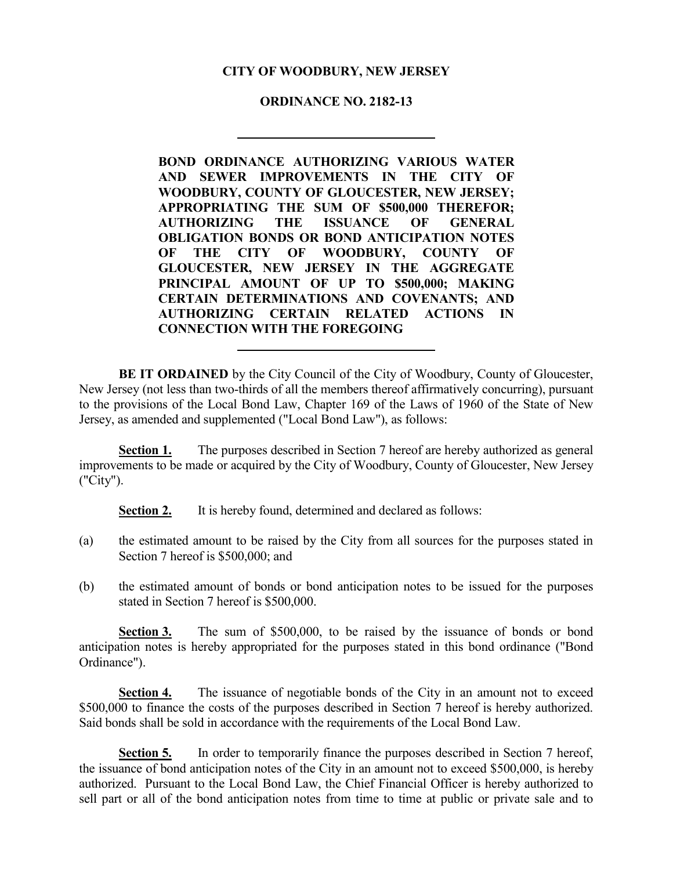# **CITY OF WOODBURY, NEW JERSEY**

## **ORDINANCE NO. 2182-13**

**BOND ORDINANCE AUTHORIZING VARIOUS WATER AND SEWER IMPROVEMENTS IN THE CITY OF WOODBURY, COUNTY OF GLOUCESTER, NEW JERSEY; APPROPRIATING THE SUM OF \$500,000 THEREFOR; AUTHORIZING THE ISSUANCE OF GENERAL OBLIGATION BONDS OR BOND ANTICIPATION NOTES OF THE CITY OF WOODBURY, COUNTY OF GLOUCESTER, NEW JERSEY IN THE AGGREGATE PRINCIPAL AMOUNT OF UP TO \$500,000; MAKING CERTAIN DETERMINATIONS AND COVENANTS; AND AUTHORIZING CERTAIN RELATED ACTIONS IN CONNECTION WITH THE FOREGOING**

**BE IT ORDAINED** by the City Council of the City of Woodbury, County of Gloucester, New Jersey (not less than two-thirds of all the members thereof affirmatively concurring), pursuant to the provisions of the Local Bond Law, Chapter 169 of the Laws of 1960 of the State of New Jersey, as amended and supplemented ("Local Bond Law"), as follows:

**Section 1.** The purposes described in Section 7 hereof are hereby authorized as general improvements to be made or acquired by the City of Woodbury, County of Gloucester, New Jersey ("City").

**Section 2.** It is hereby found, determined and declared as follows:

- (a) the estimated amount to be raised by the City from all sources for the purposes stated in Section 7 hereof is \$500,000; and
- (b) the estimated amount of bonds or bond anticipation notes to be issued for the purposes stated in Section 7 hereof is \$500,000.

**Section 3.** The sum of \$500,000, to be raised by the issuance of bonds or bond anticipation notes is hereby appropriated for the purposes stated in this bond ordinance ("Bond Ordinance").

**Section 4.** The issuance of negotiable bonds of the City in an amount not to exceed \$500,000 to finance the costs of the purposes described in Section 7 hereof is hereby authorized. Said bonds shall be sold in accordance with the requirements of the Local Bond Law.

**Section 5.** In order to temporarily finance the purposes described in Section 7 hereof, the issuance of bond anticipation notes of the City in an amount not to exceed \$500,000, is hereby authorized. Pursuant to the Local Bond Law, the Chief Financial Officer is hereby authorized to sell part or all of the bond anticipation notes from time to time at public or private sale and to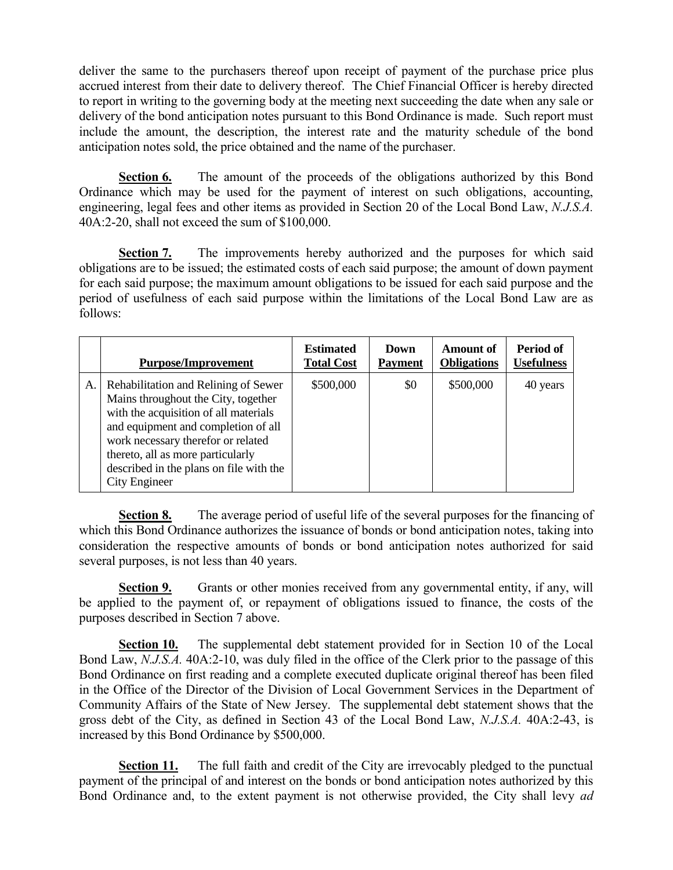deliver the same to the purchasers thereof upon receipt of payment of the purchase price plus accrued interest from their date to delivery thereof. The Chief Financial Officer is hereby directed to report in writing to the governing body at the meeting next succeeding the date when any sale or delivery of the bond anticipation notes pursuant to this Bond Ordinance is made. Such report must include the amount, the description, the interest rate and the maturity schedule of the bond anticipation notes sold, the price obtained and the name of the purchaser.

**Section 6.** The amount of the proceeds of the obligations authorized by this Bond Ordinance which may be used for the payment of interest on such obligations, accounting, engineering, legal fees and other items as provided in Section 20 of the Local Bond Law, *N.J.S.A.* 40A:2-20, shall not exceed the sum of \$100,000.

**Section 7.** The improvements hereby authorized and the purposes for which said obligations are to be issued; the estimated costs of each said purpose; the amount of down payment for each said purpose; the maximum amount obligations to be issued for each said purpose and the period of usefulness of each said purpose within the limitations of the Local Bond Law are as follows:

|    | <b>Purpose/Improvement</b>                                                                                                                                                                                                                                                                         | <b>Estimated</b><br><b>Total Cost</b> | Down<br><b>Payment</b> | <b>Amount of</b><br><b>Obligations</b> | Period of<br><b>Usefulness</b> |
|----|----------------------------------------------------------------------------------------------------------------------------------------------------------------------------------------------------------------------------------------------------------------------------------------------------|---------------------------------------|------------------------|----------------------------------------|--------------------------------|
| A. | Rehabilitation and Relining of Sewer<br>Mains throughout the City, together<br>with the acquisition of all materials<br>and equipment and completion of all<br>work necessary therefor or related<br>thereto, all as more particularly<br>described in the plans on file with the<br>City Engineer | \$500,000                             | \$0                    | \$500,000                              | 40 years                       |

**Section 8.** The average period of useful life of the several purposes for the financing of which this Bond Ordinance authorizes the issuance of bonds or bond anticipation notes, taking into consideration the respective amounts of bonds or bond anticipation notes authorized for said several purposes, is not less than 40 years.

**Section 9.** Grants or other monies received from any governmental entity, if any, will be applied to the payment of, or repayment of obligations issued to finance, the costs of the purposes described in Section 7 above.

**Section 10.** The supplemental debt statement provided for in Section 10 of the Local Bond Law, *N.J.S.A.* 40A:2-10, was duly filed in the office of the Clerk prior to the passage of this Bond Ordinance on first reading and a complete executed duplicate original thereof has been filed in the Office of the Director of the Division of Local Government Services in the Department of Community Affairs of the State of New Jersey. The supplemental debt statement shows that the gross debt of the City, as defined in Section 43 of the Local Bond Law, *N.J.S.A.* 40A:2-43, is increased by this Bond Ordinance by \$500,000.

**Section 11.** The full faith and credit of the City are irrevocably pledged to the punctual payment of the principal of and interest on the bonds or bond anticipation notes authorized by this Bond Ordinance and, to the extent payment is not otherwise provided, the City shall levy *ad*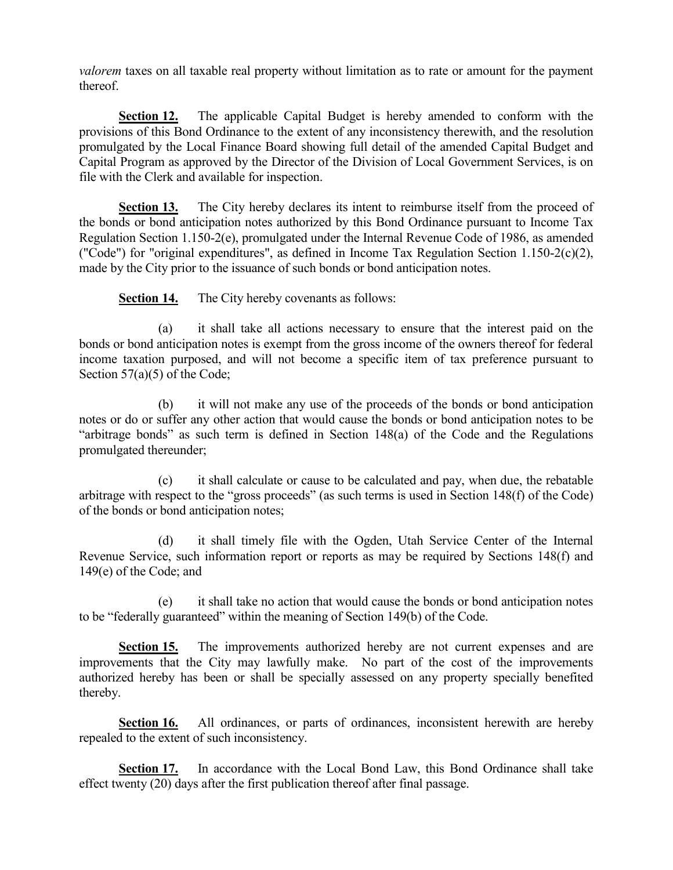*valorem* taxes on all taxable real property without limitation as to rate or amount for the payment thereof.

**Section 12.** The applicable Capital Budget is hereby amended to conform with the provisions of this Bond Ordinance to the extent of any inconsistency therewith, and the resolution promulgated by the Local Finance Board showing full detail of the amended Capital Budget and Capital Program as approved by the Director of the Division of Local Government Services, is on file with the Clerk and available for inspection.

**Section 13.** The City hereby declares its intent to reimburse itself from the proceed of the bonds or bond anticipation notes authorized by this Bond Ordinance pursuant to Income Tax Regulation Section 1.150-2(e), promulgated under the Internal Revenue Code of 1986, as amended ("Code") for "original expenditures", as defined in Income Tax Regulation Section 1.150-2(c)(2), made by the City prior to the issuance of such bonds or bond anticipation notes.

**Section 14.** The City hereby covenants as follows:

(a) it shall take all actions necessary to ensure that the interest paid on the bonds or bond anticipation notes is exempt from the gross income of the owners thereof for federal income taxation purposed, and will not become a specific item of tax preference pursuant to Section 57(a)(5) of the Code;

(b) it will not make any use of the proceeds of the bonds or bond anticipation notes or do or suffer any other action that would cause the bonds or bond anticipation notes to be "arbitrage bonds" as such term is defined in Section 148(a) of the Code and the Regulations promulgated thereunder;

(c) it shall calculate or cause to be calculated and pay, when due, the rebatable arbitrage with respect to the "gross proceeds" (as such terms is used in Section 148(f) of the Code) of the bonds or bond anticipation notes;

(d) it shall timely file with the Ogden, Utah Service Center of the Internal Revenue Service, such information report or reports as may be required by Sections 148(f) and 149(e) of the Code; and

(e) it shall take no action that would cause the bonds or bond anticipation notes to be "federally guaranteed" within the meaning of Section 149(b) of the Code.

**Section 15.** The improvements authorized hereby are not current expenses and are improvements that the City may lawfully make. No part of the cost of the improvements authorized hereby has been or shall be specially assessed on any property specially benefited thereby.

**Section 16.** All ordinances, or parts of ordinances, inconsistent herewith are hereby repealed to the extent of such inconsistency.

**Section 17.** In accordance with the Local Bond Law, this Bond Ordinance shall take effect twenty (20) days after the first publication thereof after final passage.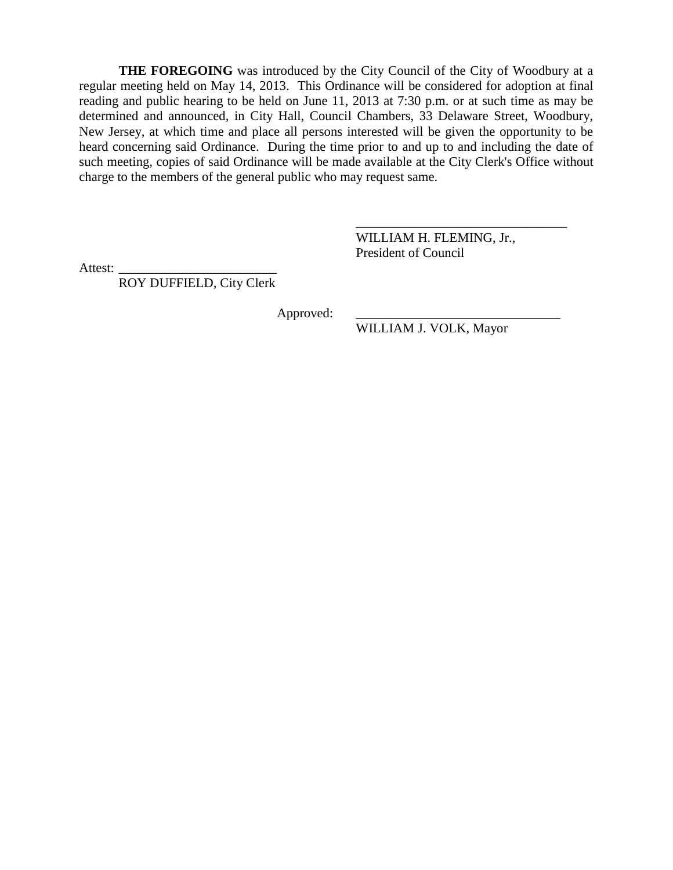**THE FOREGOING** was introduced by the City Council of the City of Woodbury at a regular meeting held on May 14, 2013. This Ordinance will be considered for adoption at final reading and public hearing to be held on June 11, 2013 at 7:30 p.m. or at such time as may be determined and announced, in City Hall, Council Chambers, 33 Delaware Street, Woodbury, New Jersey, at which time and place all persons interested will be given the opportunity to be heard concerning said Ordinance. During the time prior to and up to and including the date of such meeting, copies of said Ordinance will be made available at the City Clerk's Office without charge to the members of the general public who may request same.

> WILLIAM H. FLEMING, Jr., President of Council

\_\_\_\_\_\_\_\_\_\_\_\_\_\_\_\_\_\_\_\_\_\_\_\_\_\_\_\_\_\_\_\_

Attest:

ROY DUFFIELD, City Clerk

Approved:

WILLIAM J. VOLK, Mayor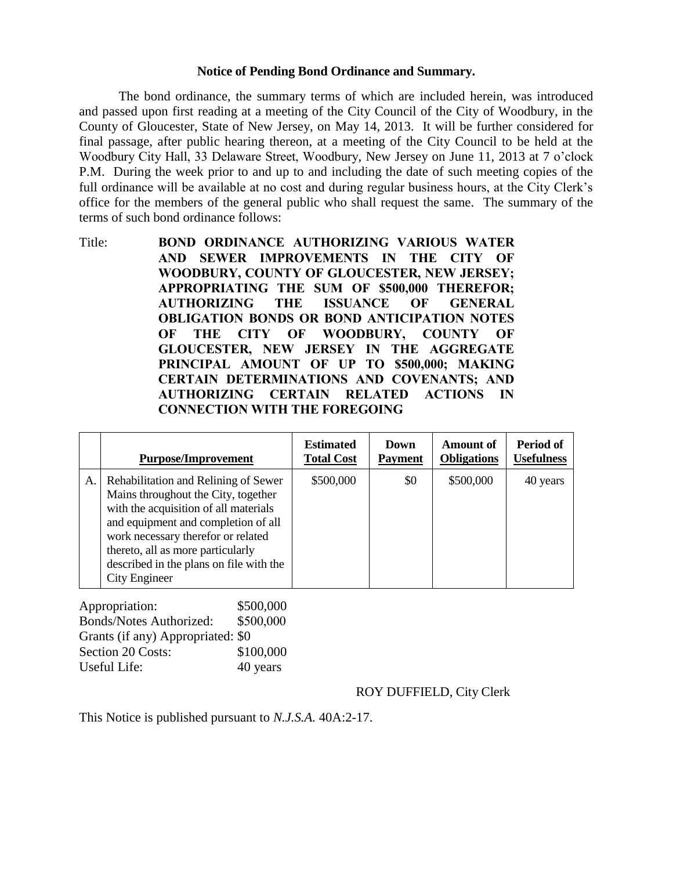### **Notice of Pending Bond Ordinance and Summary.**

The bond ordinance, the summary terms of which are included herein, was introduced and passed upon first reading at a meeting of the City Council of the City of Woodbury, in the County of Gloucester, State of New Jersey, on May 14, 2013. It will be further considered for final passage, after public hearing thereon, at a meeting of the City Council to be held at the Woodbury City Hall, 33 Delaware Street, Woodbury, New Jersey on June 11, 2013 at 7 o'clock P.M. During the week prior to and up to and including the date of such meeting copies of the full ordinance will be available at no cost and during regular business hours, at the City Clerk's office for the members of the general public who shall request the same. The summary of the terms of such bond ordinance follows:

Title: **BOND ORDINANCE AUTHORIZING VARIOUS WATER AND SEWER IMPROVEMENTS IN THE CITY OF WOODBURY, COUNTY OF GLOUCESTER, NEW JERSEY; APPROPRIATING THE SUM OF \$500,000 THEREFOR; AUTHORIZING THE ISSUANCE OF GENERAL OBLIGATION BONDS OR BOND ANTICIPATION NOTES OF THE CITY OF WOODBURY, COUNTY OF GLOUCESTER, NEW JERSEY IN THE AGGREGATE PRINCIPAL AMOUNT OF UP TO \$500,000; MAKING CERTAIN DETERMINATIONS AND COVENANTS; AND AUTHORIZING CERTAIN RELATED ACTIONS IN CONNECTION WITH THE FOREGOING**

|    | <b>Purpose/Improvement</b>                                                                                                                                                                                                                                                                         | <b>Estimated</b><br><b>Total Cost</b> | Down<br><b>Payment</b> | <b>Amount of</b><br><b>Obligations</b> | Period of<br><b>Usefulness</b> |
|----|----------------------------------------------------------------------------------------------------------------------------------------------------------------------------------------------------------------------------------------------------------------------------------------------------|---------------------------------------|------------------------|----------------------------------------|--------------------------------|
| A. | Rehabilitation and Relining of Sewer<br>Mains throughout the City, together<br>with the acquisition of all materials<br>and equipment and completion of all<br>work necessary therefor or related<br>thereto, all as more particularly<br>described in the plans on file with the<br>City Engineer | \$500,000                             | \$0                    | \$500,000                              | 40 years                       |

| Appropriation:                    | \$500,000 |
|-----------------------------------|-----------|
| <b>Bonds/Notes Authorized:</b>    | \$500,000 |
| Grants (if any) Appropriated: \$0 |           |
| Section 20 Costs:                 | \$100,000 |
| Useful Life:                      | 40 years  |

# ROY DUFFIELD, City Clerk

This Notice is published pursuant to *N.J.S.A.* 40A:2-17.